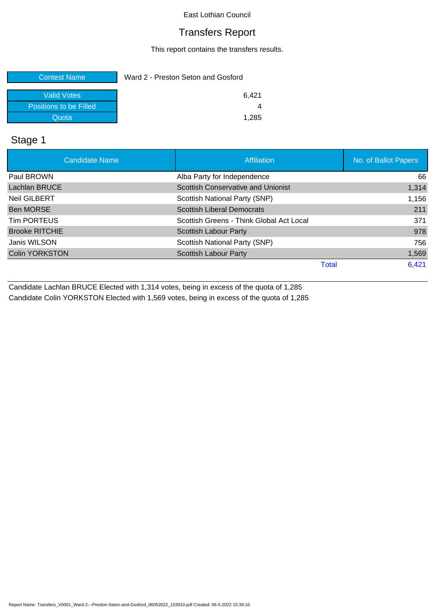## Transfers Report

This report contains the transfers results.

| <b>Contest Name</b>    | Ward 2 - Preston Seton and Gosford |  |
|------------------------|------------------------------------|--|
| <b>Valid Votes</b>     | 6.421                              |  |
| Positions to be Filled |                                    |  |
| Quota                  | 1.285                              |  |

# Stage 1

| <b>Candidate Name</b> | Affiliation                              | No. of Ballot Papers |
|-----------------------|------------------------------------------|----------------------|
| Paul BROWN            | Alba Party for Independence              | 66                   |
| Lachlan BRUCE         | Scottish Conservative and Unionist       | 1,314                |
| <b>Neil GILBERT</b>   | Scottish National Party (SNP)            | 1,156                |
| <b>Ben MORSE</b>      | <b>Scottish Liberal Democrats</b>        | 211                  |
| <b>Tim PORTEUS</b>    | Scottish Greens - Think Global Act Local | 371                  |
| <b>Brooke RITCHIE</b> | Scottish Labour Party                    | 978                  |
| Janis WILSON          | Scottish National Party (SNP)            | 756                  |
| <b>Colin YORKSTON</b> | <b>Scottish Labour Party</b>             | 1,569                |
|                       | Total                                    | 6,421                |

Candidate Lachlan BRUCE Elected with 1,314 votes, being in excess of the quota of 1,285 Candidate Colin YORKSTON Elected with 1,569 votes, being in excess of the quota of 1,285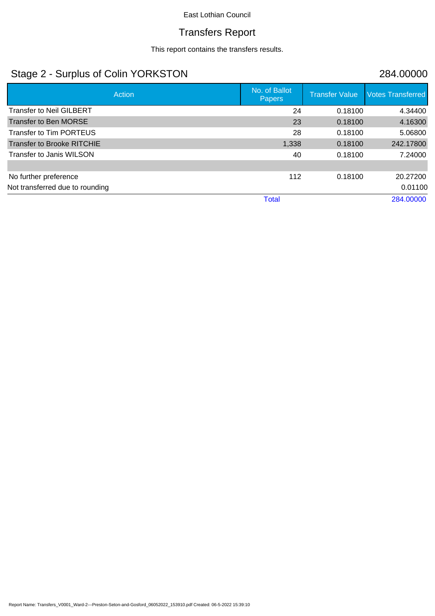# Transfers Report

This report contains the transfers results.

# Stage 2 - Surplus of Colin YORKSTON 284.00000

| Action                            | No. of Ballot<br><b>Papers</b> | <b>Transfer Value</b> | <b>Votes Transferred</b> |
|-----------------------------------|--------------------------------|-----------------------|--------------------------|
| <b>Transfer to Neil GILBERT</b>   | 24                             | 0.18100               | 4.34400                  |
| Transfer to Ben MORSE             | 23                             | 0.18100               | 4.16300                  |
| Transfer to Tim PORTEUS           | 28                             | 0.18100               | 5.06800                  |
| <b>Transfer to Brooke RITCHIE</b> | 1,338                          | 0.18100               | 242.17800                |
| Transfer to Janis WILSON          | 40                             | 0.18100               | 7.24000                  |
|                                   |                                |                       |                          |
| No further preference             | 112                            | 0.18100               | 20.27200                 |
| Not transferred due to rounding   |                                |                       | 0.01100                  |
|                                   | <b>Total</b>                   |                       | 284.00000                |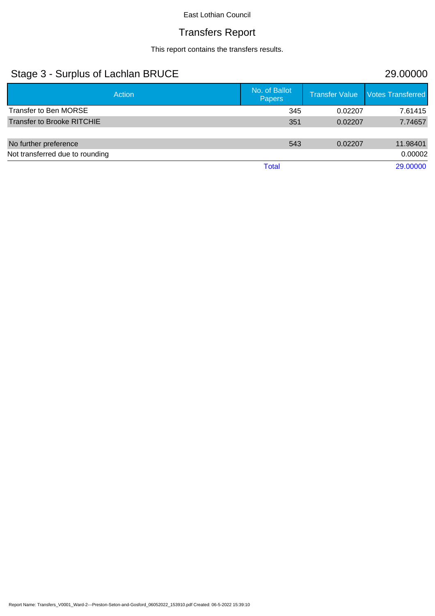# Transfers Report

This report contains the transfers results.

# Stage 3 - Surplus of Lachlan BRUCE 29.00000

| Action                            | No. of Ballot<br><b>Papers</b> | <b>Transfer Value</b> | <b>Votes Transferred</b> |
|-----------------------------------|--------------------------------|-----------------------|--------------------------|
| <b>Transfer to Ben MORSE</b>      | 345                            | 0.02207               | 7.61415                  |
| <b>Transfer to Brooke RITCHIE</b> | 351                            | 0.02207               | 7.74657                  |
| No further preference             | 543                            | 0.02207               | 11.98401                 |
| Not transferred due to rounding   |                                |                       | 0.00002                  |
|                                   | Total                          |                       | 29.00000                 |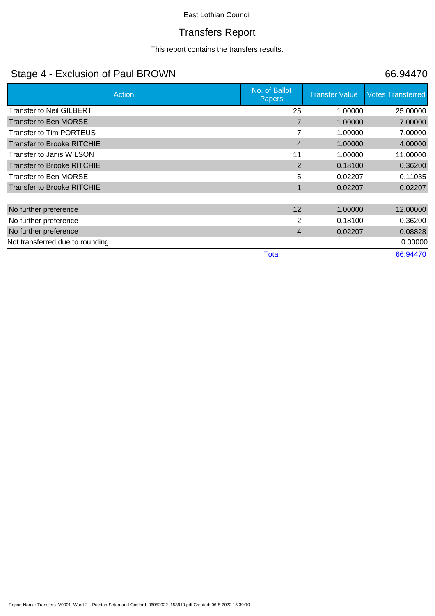# Transfers Report

This report contains the transfers results.

# Stage 4 - Exclusion of Paul BROWN 66.94470

| Action                            | No. of Ballot<br><b>Papers</b> | <b>Transfer Value</b> | <b>Votes Transferred</b> |
|-----------------------------------|--------------------------------|-----------------------|--------------------------|
| <b>Transfer to Neil GILBERT</b>   | 25                             | 1.00000               | 25.00000                 |
| <b>Transfer to Ben MORSE</b>      | 7                              | 1.00000               | 7.00000                  |
| <b>Transfer to Tim PORTEUS</b>    | 7                              | 1.00000               | 7.00000                  |
| <b>Transfer to Brooke RITCHIE</b> | $\overline{4}$                 | 1.00000               | 4.00000                  |
| <b>Transfer to Janis WILSON</b>   | 11                             | 1.00000               | 11.00000                 |
| <b>Transfer to Brooke RITCHIE</b> | 2                              | 0.18100               | 0.36200                  |
| Transfer to Ben MORSE             | 5                              | 0.02207               | 0.11035                  |
| <b>Transfer to Brooke RITCHIE</b> | $\blacksquare$                 | 0.02207               | 0.02207                  |
|                                   |                                |                       |                          |
| No further preference             | 12                             | 1.00000               | 12.00000                 |
| No further preference             | 2                              | 0.18100               | 0.36200                  |
| No further preference             | $\overline{4}$                 | 0.02207               | 0.08828                  |
| Not transferred due to rounding   |                                |                       | 0.00000                  |
|                                   | <b>Total</b>                   |                       | 66.94470                 |

### Report Name: Transfers\_V0001\_Ward-2---Preston-Seton-and-Gosford\_06052022\_153910.pdf Created: 06-5-2022 15:39:10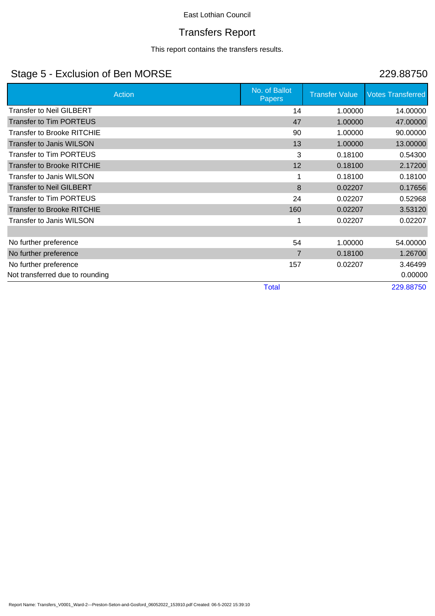# Transfers Report

This report contains the transfers results.

# Stage 5 - Exclusion of Ben MORSE 229.88750

| <b>Action</b>                     | No. of Ballot<br>Papers | <b>Transfer Value</b>     | <b>Votes Transferred</b> |
|-----------------------------------|-------------------------|---------------------------|--------------------------|
| <b>Transfer to Neil GILBERT</b>   |                         | 14<br>1.00000             | 14.00000                 |
| <b>Transfer to Tim PORTEUS</b>    | 47                      | 1.00000                   | 47.00000                 |
| <b>Transfer to Brooke RITCHIE</b> |                         | 90<br>1.00000             | 90.00000                 |
| <b>Transfer to Janis WILSON</b>   |                         | 13<br>1.00000             | 13.00000                 |
| <b>Transfer to Tim PORTEUS</b>    |                         | 3<br>0.18100              | 0.54300                  |
| <b>Transfer to Brooke RITCHIE</b> |                         | 12<br>0.18100             | 2.17200                  |
| Transfer to Janis WILSON          |                         | 0.18100                   | 0.18100                  |
| <b>Transfer to Neil GILBERT</b>   |                         | 8<br>0.02207              | 0.17656                  |
| <b>Transfer to Tim PORTEUS</b>    |                         | 24<br>0.02207             | 0.52968                  |
| <b>Transfer to Brooke RITCHIE</b> | 160                     | 0.02207                   | 3.53120                  |
| Transfer to Janis WILSON          |                         | 0.02207                   | 0.02207                  |
|                                   |                         |                           |                          |
| No further preference             |                         | 54<br>1.00000             | 54.00000                 |
| No further preference             |                         | $\overline{7}$<br>0.18100 | 1.26700                  |
| No further preference             | 157                     | 0.02207                   | 3.46499                  |
| Not transferred due to rounding   |                         |                           | 0.00000                  |
|                                   | <b>Total</b>            |                           | 229.88750                |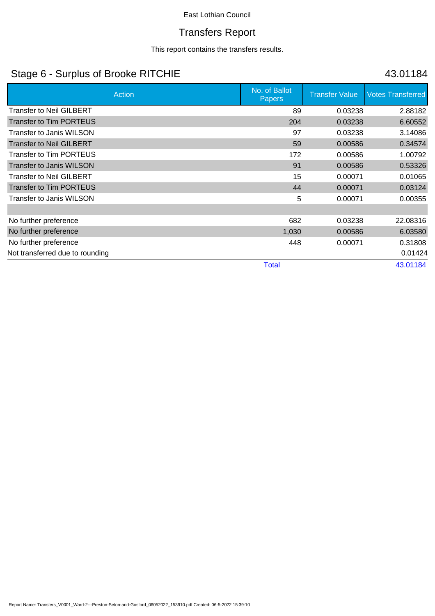# Transfers Report

This report contains the transfers results.

# Stage 6 - Surplus of Brooke RITCHIE 43.01184

| Action                          | No. of Ballot<br>Papers | <b>Transfer Value</b> | <b>Votes Transferred</b> |
|---------------------------------|-------------------------|-----------------------|--------------------------|
| <b>Transfer to Neil GILBERT</b> | 89                      | 0.03238               | 2.88182                  |
| <b>Transfer to Tim PORTEUS</b>  | 204                     | 0.03238               | 6.60552                  |
| Transfer to Janis WILSON        | 97                      | 0.03238               | 3.14086                  |
| <b>Transfer to Neil GILBERT</b> | 59                      | 0.00586               | 0.34574                  |
| <b>Transfer to Tim PORTEUS</b>  | 172                     | 0.00586               | 1.00792                  |
| <b>Transfer to Janis WILSON</b> | 91                      | 0.00586               | 0.53326                  |
| <b>Transfer to Neil GILBERT</b> | 15                      | 0.00071               | 0.01065                  |
| <b>Transfer to Tim PORTEUS</b>  | 44                      | 0.00071               | 0.03124                  |
| Transfer to Janis WILSON        | 5                       | 0.00071               | 0.00355                  |
|                                 |                         |                       |                          |
| No further preference           | 682                     | 0.03238               | 22.08316                 |
| No further preference           | 1,030                   | 0.00586               | 6.03580                  |
| No further preference           | 448                     | 0.00071               | 0.31808                  |
| Not transferred due to rounding |                         |                       | 0.01424                  |
|                                 | <b>Total</b>            |                       | 43.01184                 |